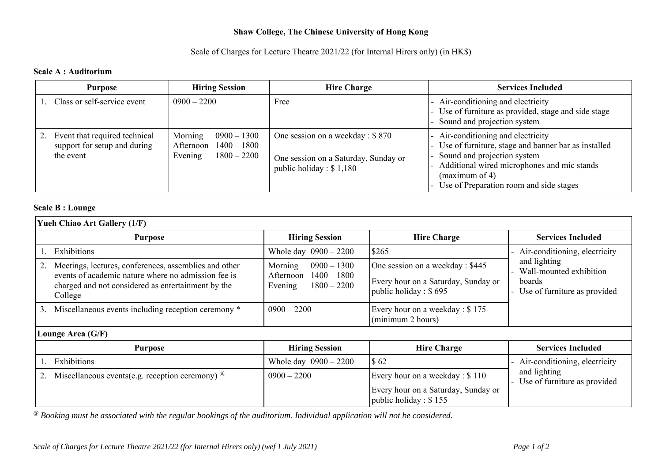# **Shaw College, The Chinese University of Hong Kong**

#### Scale of Charges for Lecture Theatre 2021/22 (for Internal Hirers only) (in HK\$)

#### **Scale A : Auditorium**

| <b>Purpose</b>                                                             | <b>Hiring Session</b>                                                              | <b>Hire Charge</b>                                                                                    | <b>Services Included</b>                                                                                                                                                                                                               |
|----------------------------------------------------------------------------|------------------------------------------------------------------------------------|-------------------------------------------------------------------------------------------------------|----------------------------------------------------------------------------------------------------------------------------------------------------------------------------------------------------------------------------------------|
| Class or self-service event                                                | $0900 - 2200$                                                                      | Free                                                                                                  | - Air-conditioning and electricity<br>- Use of furniture as provided, stage and side stage<br>- Sound and projection system                                                                                                            |
| Event that required technical<br>support for setup and during<br>the event | Morning<br>$0900 - 1300$<br>$1400 - 1800$<br>Afternoon<br>$1800 - 2200$<br>Evening | One session on a weekday : \$870<br>One session on a Saturday, Sunday or<br>public holiday : $$1,180$ | - Air-conditioning and electricity<br>- Use of furniture, stage and banner bar as installed<br>Sound and projection system<br>Additional wired microphones and mic stands<br>(maximum of 4)<br>Use of Preparation room and side stages |

## **Scale B : Lounge**

| <b>Yueh Chiao Art Gallery (1/F)</b> |                                                                                                                      |                                                                                    |                                                                |                                                                                   |  |  |
|-------------------------------------|----------------------------------------------------------------------------------------------------------------------|------------------------------------------------------------------------------------|----------------------------------------------------------------|-----------------------------------------------------------------------------------|--|--|
|                                     | <b>Purpose</b>                                                                                                       | <b>Hiring Session</b>                                                              | <b>Hire Charge</b>                                             | <b>Services Included</b>                                                          |  |  |
|                                     | Exhibitions                                                                                                          | Whole day $0900 - 2200$                                                            | \$265                                                          | Air-conditioning, electricity                                                     |  |  |
|                                     | Meetings, lectures, conferences, assemblies and other                                                                | Morning<br>$0900 - 1300$<br>$1400 - 1800$<br>Afternoon<br>$1800 - 2200$<br>Evening | One session on a weekday : \$445                               | and lighting<br>Wall-mounted exhibition<br>boards<br>Use of furniture as provided |  |  |
|                                     | events of academic nature where no admission fee is<br>charged and not considered as entertainment by the<br>College |                                                                                    | Every hour on a Saturday, Sunday or<br>public holiday : $$695$ |                                                                                   |  |  |
| 3.                                  | Miscellaneous events including reception ceremony *                                                                  | $0900 - 2200$                                                                      | Every hour on a weekday : \$175<br>(minimum 2 hours)           |                                                                                   |  |  |
| Lounge Area (G/F)                   |                                                                                                                      |                                                                                    |                                                                |                                                                                   |  |  |
| <b>Purpose</b>                      |                                                                                                                      | <b>Hiring Session</b>                                                              | <b>Hire Charge</b>                                             | <b>Services Included</b>                                                          |  |  |
|                                     | Exhibitions                                                                                                          | Whole day $0900 - 2200$                                                            | \$62                                                           | - Air-conditioning, electricity                                                   |  |  |
|                                     | Miscellaneous events(e.g. reception ceremony) $^{\circledR}$<br>$0900 - 2200$                                        |                                                                                    | Every hour on a weekday : \$110                                | and lighting<br>Use of furniture as provided                                      |  |  |
|                                     |                                                                                                                      |                                                                                    | Every hour on a Saturday, Sunday or<br>public holiday : $$155$ |                                                                                   |  |  |

*@ Booking must be associated with the regular bookings of the auditorium. Individual application will not be considered.*